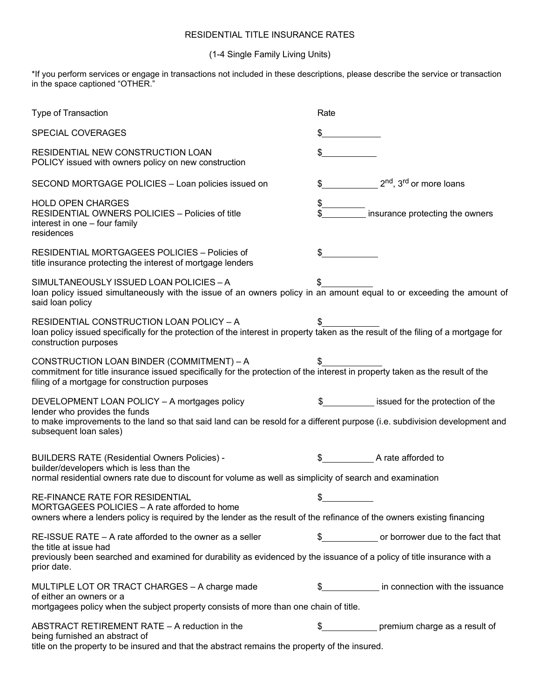## RESIDENTIAL TITLE INSURANCE RATES

## (1-4 Single Family Living Units)

\*If you perform services or engage in transactions not included in these descriptions, please describe the service or transaction in the space captioned "OTHER."

| Type of Transaction                                                                                                                                                                                                                   | Rate                                                  |
|---------------------------------------------------------------------------------------------------------------------------------------------------------------------------------------------------------------------------------------|-------------------------------------------------------|
| SPECIAL COVERAGES                                                                                                                                                                                                                     | \$                                                    |
| RESIDENTIAL NEW CONSTRUCTION LOAN<br>POLICY issued with owners policy on new construction                                                                                                                                             | \$                                                    |
| SECOND MORTGAGE POLICIES - Loan policies issued on                                                                                                                                                                                    | 2 <sup>nd</sup> , 3 <sup>rd</sup> or more loans<br>\$ |
| <b>HOLD OPEN CHARGES</b><br>RESIDENTIAL OWNERS POLICIES - Policies of title<br>interest in one - four family<br>residences                                                                                                            | insurance protecting the owners                       |
| RESIDENTIAL MORTGAGEES POLICIES - Policies of<br>title insurance protecting the interest of mortgage lenders                                                                                                                          | \$                                                    |
| SIMULTANEOUSLY ISSUED LOAN POLICIES - A<br>loan policy issued simultaneously with the issue of an owners policy in an amount equal to or exceeding the amount of<br>said loan policy                                                  |                                                       |
| RESIDENTIAL CONSTRUCTION LOAN POLICY - A<br>loan policy issued specifically for the protection of the interest in property taken as the result of the filing of a mortgage for<br>construction purposes                               |                                                       |
| CONSTRUCTION LOAN BINDER (COMMITMENT) - A<br>commitment for title insurance issued specifically for the protection of the interest in property taken as the result of the<br>filing of a mortgage for construction purposes           |                                                       |
| DEVELOPMENT LOAN POLICY - A mortgages policy<br>lender who provides the funds<br>to make improvements to the land so that said land can be resold for a different purpose (i.e. subdivision development and<br>subsequent loan sales) | issued for the protection of the                      |
| <b>BUILDERS RATE (Residential Owners Policies) -</b><br>builder/developers which is less than the<br>normal residential owners rate due to discount for volume as well as simplicity of search and examination                        | A rate afforded to                                    |
| RE-FINANCE RATE FOR RESIDENTIAL<br>MORTGAGEES POLICIES - A rate afforded to home<br>owners where a lenders policy is required by the lender as the result of the refinance of the owners existing financing                           |                                                       |
| $RE$ -ISSUE RATE $-$ A rate afforded to the owner as a seller<br>the title at issue had<br>previously been searched and examined for durability as evidenced by the issuance of a policy of title insurance with a<br>prior date.     | \$ 000 or borrower due to the fact that               |
| MULTIPLE LOT OR TRACT CHARGES - A charge made<br>of either an owners or a<br>mortgagees policy when the subject property consists of more than one chain of title.                                                                    | in connection with the issuance                       |
| ABSTRACT RETIREMENT RATE - A reduction in the<br>being furnished an abstract of<br>title on the property to be insured and that the abstract remains the property of the insured.                                                     | \$<br>premium charge as a result of                   |